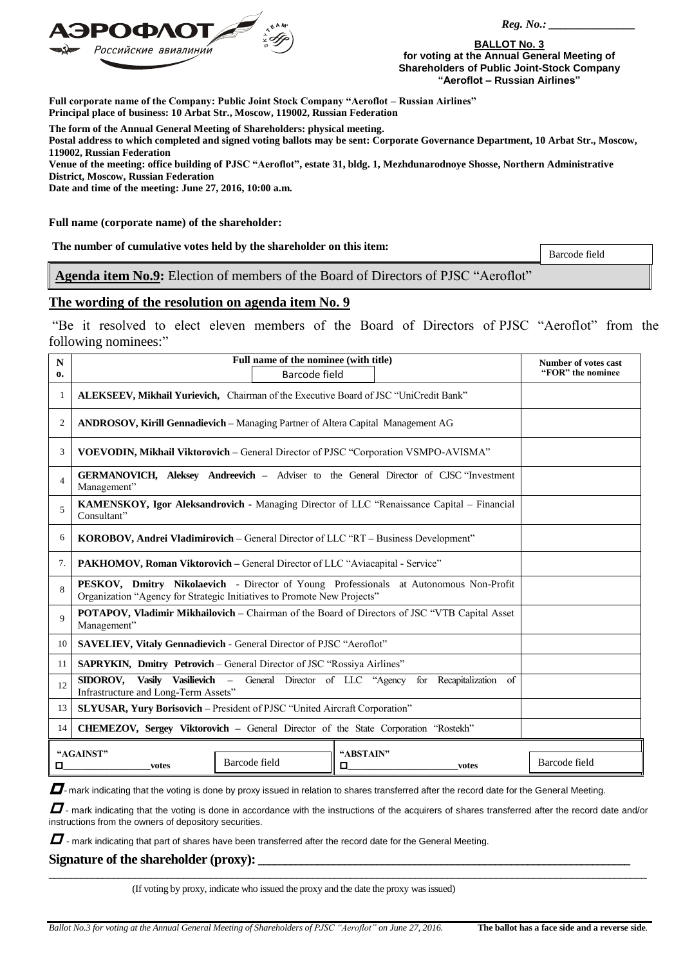

 *Reg. No.: \_\_\_\_\_\_\_\_\_\_\_\_\_\_\_*

**BALLOT No. 3 for voting at the Annual General Meeting of Shareholders of Public Joint-Stock Company "Aeroflot – Russian Airlines"**

**Full corporate name of the Company: Public Joint Stock Company "Aeroflot – Russian Airlines" Principal place of business: 10 Arbat Str., Moscow, 119002, Russian Federation**

**The form of the Annual General Meeting of Shareholders: physical meeting.**

**Postal address to which completed and signed voting ballots may be sent: Corporate Governance Department, 10 Arbat Str., Moscow, 119002, Russian Federation**

**Venue of the meeting: office building of PJSC "Aeroflot", estate 31, bldg. 1, Mezhdunarodnoye Shosse, Northern Administrative District, Moscow, Russian Federation**

**Date and time of the meeting: June 27, 2016, 10:00 a.m.**

**Full name (corporate name) of the shareholder:**

**The number of cumulative votes held by the shareholder on this item:**

Barcode field

**Agenda item No.9:** Election of members of the Board of Directors of PJSC "Aeroflot"

## **The wording of the resolution on agenda item No. 9**

"Be it resolved to elect eleven members of the Board of Directors of PJSC "Aeroflot" from the following nominees:"

| N<br>0.        | Full name of the nominee (with title)<br><b>Barcode field</b>                                                                                                           | Number of votes cast<br>"FOR" the nominee |
|----------------|-------------------------------------------------------------------------------------------------------------------------------------------------------------------------|-------------------------------------------|
| 1              | ALEKSEEV, Mikhail Yurievich, Chairman of the Executive Board of JSC "UniCredit Bank"                                                                                    |                                           |
| $\mathfrak{2}$ | ANDROSOV, Kirill Gennadievich - Managing Partner of Altera Capital Management AG                                                                                        |                                           |
| 3              | VOEVODIN, Mikhail Viktorovich - General Director of PJSC "Corporation VSMPO-AVISMA"                                                                                     |                                           |
| $\overline{4}$ | GERMANOVICH, Aleksey Andreevich - Adviser to the General Director of CJSC "Investment<br>Management"                                                                    |                                           |
| 5              | KAMENSKOY, Igor Aleksandrovich - Managing Director of LLC "Renaissance Capital – Financial<br>Consultant"                                                               |                                           |
| 6              | <b>KOROBOV, Andrei Vladimirovich</b> – General Director of LLC "RT – Business Development"                                                                              |                                           |
| 7.             | PAKHOMOV, Roman Viktorovich - General Director of LLC "Aviacapital - Service"                                                                                           |                                           |
| 8              | <b>PESKOV, Dmitry Nikolaevich</b> - Director of Young Professionals at Autonomous Non-Profit<br>Organization "Agency for Strategic Initiatives to Promote New Projects" |                                           |
| 9              | POTAPOV, Vladimir Mikhailovich - Chairman of the Board of Directors of JSC "VTB Capital Asset<br>Management"                                                            |                                           |
| 10             | SAVELIEV, Vitaly Gennadievich - General Director of PJSC "Aeroflot"                                                                                                     |                                           |
| 11             | <b>SAPRYKIN, Dmitry Petrovich</b> – General Director of JSC "Rossiya Airlines"                                                                                          |                                           |
| 12             | Vasily Vasilievich –<br>General Director of LLC "Agency<br>for Recapitalization of<br>SIDOROV,<br>Infrastructure and Long-Term Assets"                                  |                                           |
| 13             | SLYUSAR, Yury Borisovich - President of PJSC "United Aircraft Corporation"                                                                                              |                                           |
| 14             | CHEMEZOV, Sergey Viktorovich - General Director of the State Corporation "Rostekh"                                                                                      |                                           |
| 0              | "AGAINST"<br>"ABSTAIN"<br>Barcode field<br>0<br>votes<br>votes                                                                                                          | Barcode field                             |

 $\Box$ -mark indicating that the voting is done by proxy issued in relation to shares transferred after the record date for the General Meeting.

 $\Box$  - mark indicating that the voting is done in accordance with the instructions of the acquirers of shares transferred after the record date and/or instructions from the owners of depository securities.

**\_\_\_\_\_\_\_\_\_\_\_\_\_\_\_\_\_\_\_\_\_\_\_\_\_\_\_\_\_\_\_\_\_\_\_\_\_\_\_\_\_\_\_\_\_\_\_\_\_\_\_\_\_\_\_\_\_\_\_\_\_\_\_\_\_\_\_\_\_\_\_\_\_\_\_\_\_\_\_\_\_\_\_\_\_\_\_\_\_\_\_\_\_\_\_\_\_\_\_\_\_\_\_\_\_\_\_\_\_\_\_**

 $\Box$  - mark indicating that part of shares have been transferred after the record date for the General Meeting.

## Signature of the shareholder (proxy):

(If voting by proxy, indicate who issued the proxy and the date the proxy was issued)